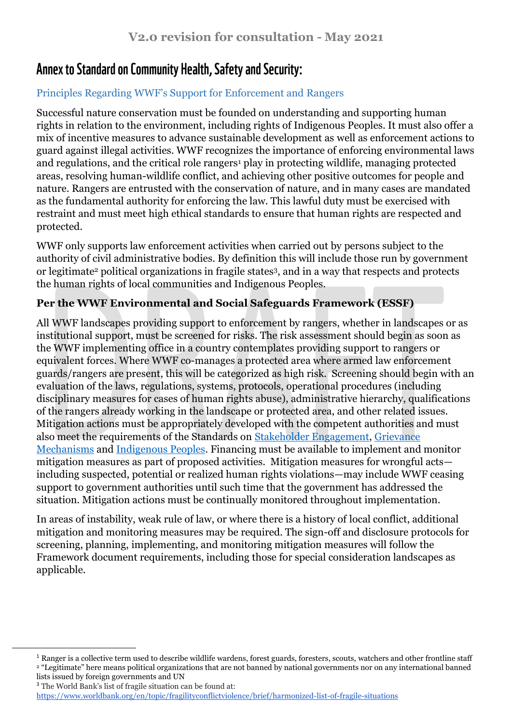## **Annex to Standard on Community Health, Safety and Security:**

## Principles Regarding WWF's Support for Enforcement and Rangers

Successful nature conservation must be founded on understanding and supporting human rights in relation to the environment, including rights of Indigenous Peoples. It must also offer a mix of incentive measures to advance sustainable development as well as enforcement actions to guard against illegal activities. WWF recognizes the importance of enforcing environmental laws and regulations, and the critical role rangers<sup>1</sup> play in protecting wildlife, managing protected areas, resolving human-wildlife conflict, and achieving other positive outcomes for people and nature. Rangers are entrusted with the conservation of nature, and in many cases are mandated as the fundamental authority for enforcing the law. This lawful duty must be exercised with restraint and must meet high ethical standards to ensure that human rights are respected and protected.

WWF only supports law enforcement activities when carried out by persons subject to the authority of civil administrative bodies. By definition this will include those run by government or legitimate<sup>2</sup> political organizations in fragile states3, and in a way that respects and protects the human rights of local communities and Indigenous Peoples.

## **Per the WWF Environmental and Social Safeguards Framework (ESSF)**

All WWF landscapes providing support to enforcement by rangers, whether in landscapes or as institutional support, must be screened for risks. The risk assessment should begin as soon as the WWF implementing office in a country contemplates providing support to rangers or equivalent forces. Where WWF co-manages a protected area where armed law enforcement guards/rangers are present, this will be categorized as high risk. Screening should begin with an evaluation of the laws, regulations, systems, protocols, operational procedures (including disciplinary measures for cases of human rights abuse), administrative hierarchy, qualifications of the rangers already working in the landscape or protected area, and other related issues. Mitigation actions must be appropriately developed with the competent authorities and must also meet the requirements of the Standards on [Stakeholder Engagement,](https://wwfint.awsassets.panda.org/downloads/wwf_standard_on_stakeholder_engagement_consultation_draft.pdf) [Grievance](https://wwfint.awsassets.panda.org/downloads/wwf_standard_on_grievance_mechanisms_consultation_draft.pdf)  [Mechanisms](https://wwfint.awsassets.panda.org/downloads/wwf_standard_on_grievance_mechanisms_consultation_draft.pdf) and [Indigenous Peoples.](https://wwfint.awsassets.panda.org/downloads/wwf_standard_on_indigenous_peoples_consultation_draft.pdf) Financing must be available to implement and monitor mitigation measures as part of proposed activities. Mitigation measures for wrongful acts including suspected, potential or realized human rights violations—may include WWF ceasing support to government authorities until such time that the government has addressed the situation. Mitigation actions must be continually monitored throughout implementation.

In areas of instability, weak rule of law, or where there is a history of local conflict, additional mitigation and monitoring measures may be required. The sign-off and disclosure protocols for screening, planning, implementing, and monitoring mitigation measures will follow the Framework document requirements, including those for special consideration landscapes as applicable.

<sup>3</sup> The World Bank's list of fragile situation can be found at[:](https://www.worldbank.org/en/topic/fragilityconflictviolence/brief/harmonized-list-of-fragile-situations) <https://www.worldbank.org/en/topic/fragilityconflictviolence/brief/harmonized-list-of-fragile-situations>

 $\overline{a}$ 

 $1$  Ranger is a collective term used to describe wildlife wardens, forest guards, foresters, scouts, watchers and other frontline staff <sup>2</sup> "Legitimate" here means political organizations that are not banned by national governments nor on any international banned lists issued by foreign governments and UN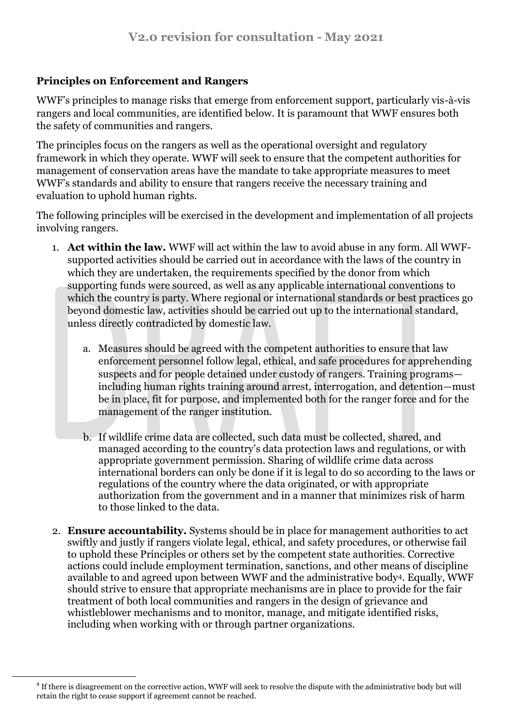## **Principles on Enforcement and Rangers**

WWF's principles to manage risks that emerge from enforcement support, particularly vis-à-vis rangers and local communities, are identified below. It is paramount that WWF ensures both the safety of communities and rangers.

The principles focus on the rangers as well as the operational oversight and regulatory framework in which they operate. WWF will seek to ensure that the competent authorities for management of conservation areas have the mandate to take appropriate measures to meet WWF's standards and ability to ensure that rangers receive the necessary training and evaluation to uphold human rights.

The following principles will be exercised in the development and implementation of all projects involving rangers.

- 1. **Act within the law.** WWF will act within the law to avoid abuse in any form. All WWFsupported activities should be carried out in accordance with the laws of the country in which they are undertaken, the requirements specified by the donor from which supporting funds were sourced, as well as any applicable international conventions to which the country is party. Where regional or international standards or best practices go beyond domestic law, activities should be carried out up to the international standard, unless directly contradicted by domestic law.
	- a. Measures should be agreed with the competent authorities to ensure that law enforcement personnel follow legal, ethical, and safe procedures for apprehending suspects and for people detained under custody of rangers. Training programs including human rights training around arrest, interrogation, and detention—must be in place, fit for purpose, and implemented both for the ranger force and for the management of the ranger institution.
	- b. If wildlife crime data are collected, such data must be collected, shared, and managed according to the country's data protection laws and regulations, or with appropriate government permission. Sharing of wildlife crime data across international borders can only be done if it is legal to do so according to the laws or regulations of the country where the data originated, or with appropriate authorization from the government and in a manner that minimizes risk of harm to those linked to the data.
- 2. **Ensure accountability.** Systems should be in place for management authorities to act swiftly and justly if rangers violate legal, ethical, and safety procedures, or otherwise fail to uphold these Principles or others set by the competent state authorities. Corrective actions could include employment termination, sanctions, and other means of discipline available to and agreed upon between WWF and the administrative body4. Equally, WWF should strive to ensure that appropriate mechanisms are in place to provide for the fair treatment of both local communities and rangers in the design of grievance and whistleblower mechanisms and to monitor, manage, and mitigate identified risks, including when working with or through partner organizations.

 $\ddot{\phantom{a}}$ 

<sup>&</sup>lt;sup>4</sup> If there is disagreement on the corrective action, WWF will seek to resolve the dispute with the administrative body but will retain the right to cease support if agreement cannot be reached.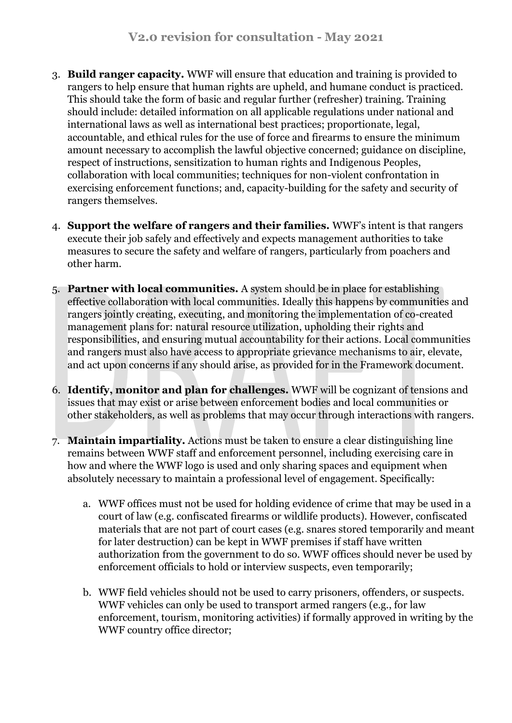- 3. **Build ranger capacity.** WWF will ensure that education and training is provided to rangers to help ensure that human rights are upheld, and humane conduct is practiced. This should take the form of basic and regular further (refresher) training. Training should include: detailed information on all applicable regulations under national and international laws as well as international best practices; proportionate, legal, accountable, and ethical rules for the use of force and firearms to ensure the minimum amount necessary to accomplish the lawful objective concerned; guidance on discipline, respect of instructions, sensitization to human rights and Indigenous Peoples, collaboration with local communities; techniques for non-violent confrontation in exercising enforcement functions; and, capacity-building for the safety and security of rangers themselves.
- 4. **Support the welfare of rangers and their families.** WWF's intent is that rangers execute their job safely and effectively and expects management authorities to take measures to secure the safety and welfare of rangers, particularly from poachers and other harm.
- 5. **Partner with local communities.** A system should be in place for establishing effective collaboration with local communities. Ideally this happens by communities and rangers jointly creating, executing, and monitoring the implementation of co-created management plans for: natural resource utilization, upholding their rights and responsibilities, and ensuring mutual accountability for their actions. Local communities and rangers must also have access to appropriate grievance mechanisms to air, elevate, and act upon concerns if any should arise, as provided for in the Framework document.
- 6. **Identify, monitor and plan for challenges.** WWF will be cognizant of tensions and issues that may exist or arise between enforcement bodies and local communities or other stakeholders, as well as problems that may occur through interactions with rangers.
- 7. **Maintain impartiality.** Actions must be taken to ensure a clear distinguishing line remains between WWF staff and enforcement personnel, including exercising care in how and where the WWF logo is used and only sharing spaces and equipment when absolutely necessary to maintain a professional level of engagement. Specifically:
	- a. WWF offices must not be used for holding evidence of crime that may be used in a court of law (e.g. confiscated firearms or wildlife products). However, confiscated materials that are not part of court cases (e.g. snares stored temporarily and meant for later destruction) can be kept in WWF premises if staff have written authorization from the government to do so. WWF offices should never be used by enforcement officials to hold or interview suspects, even temporarily;
	- b. WWF field vehicles should not be used to carry prisoners, offenders, or suspects. WWF vehicles can only be used to transport armed rangers (e.g., for law enforcement, tourism, monitoring activities) if formally approved in writing by the WWF country office director;